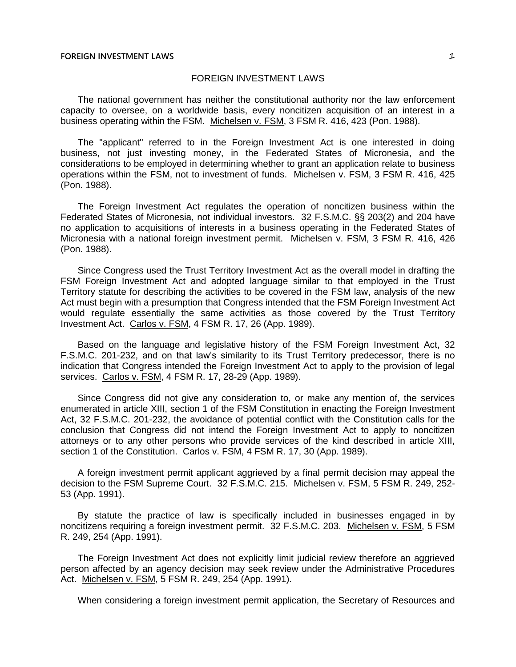The national government has neither the constitutional authority nor the law enforcement capacity to oversee, on a worldwide basis, every noncitizen acquisition of an interest in a business operating within the FSM. Michelsen v. FSM, 3 FSM R. 416, 423 (Pon. 1988).

The "applicant" referred to in the Foreign Investment Act is one interested in doing business, not just investing money, in the Federated States of Micronesia, and the considerations to be employed in determining whether to grant an application relate to business operations within the FSM, not to investment of funds. Michelsen v. FSM, 3 FSM R. 416, 425 (Pon. 1988).

The Foreign Investment Act regulates the operation of noncitizen business within the Federated States of Micronesia, not individual investors. 32 F.S.M.C. §§ 203(2) and 204 have no application to acquisitions of interests in a business operating in the Federated States of Micronesia with a national foreign investment permit. Michelsen v. FSM, 3 FSM R. 416, 426 (Pon. 1988).

Since Congress used the Trust Territory Investment Act as the overall model in drafting the FSM Foreign Investment Act and adopted language similar to that employed in the Trust Territory statute for describing the activities to be covered in the FSM law, analysis of the new Act must begin with a presumption that Congress intended that the FSM Foreign Investment Act would regulate essentially the same activities as those covered by the Trust Territory Investment Act. Carlos v. FSM, 4 FSM R. 17, 26 (App. 1989).

Based on the language and legislative history of the FSM Foreign Investment Act, 32 F.S.M.C. 201-232, and on that law's similarity to its Trust Territory predecessor, there is no indication that Congress intended the Foreign Investment Act to apply to the provision of legal services. Carlos v. FSM, 4 FSM R. 17, 28-29 (App. 1989).

Since Congress did not give any consideration to, or make any mention of, the services enumerated in article XIII, section 1 of the FSM Constitution in enacting the Foreign Investment Act, 32 F.S.M.C. 201-232, the avoidance of potential conflict with the Constitution calls for the conclusion that Congress did not intend the Foreign Investment Act to apply to noncitizen attorneys or to any other persons who provide services of the kind described in article XIII, section 1 of the Constitution. Carlos v. FSM, 4 FSM R. 17, 30 (App. 1989).

A foreign investment permit applicant aggrieved by a final permit decision may appeal the decision to the FSM Supreme Court. 32 F.S.M.C. 215. Michelsen v. FSM, 5 FSM R. 249, 252- 53 (App. 1991).

By statute the practice of law is specifically included in businesses engaged in by noncitizens requiring a foreign investment permit. 32 F.S.M.C. 203. Michelsen v. FSM, 5 FSM R. 249, 254 (App. 1991).

The Foreign Investment Act does not explicitly limit judicial review therefore an aggrieved person affected by an agency decision may seek review under the Administrative Procedures Act. Michelsen v. FSM, 5 FSM R. 249, 254 (App. 1991).

When considering a foreign investment permit application, the Secretary of Resources and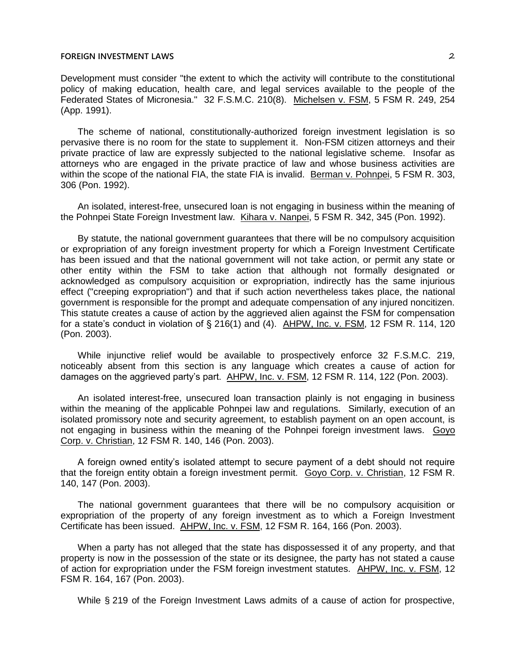Development must consider "the extent to which the activity will contribute to the constitutional policy of making education, health care, and legal services available to the people of the Federated States of Micronesia." 32 F.S.M.C. 210(8). Michelsen v. FSM, 5 FSM R. 249, 254 (App. 1991).

The scheme of national, constitutionally-authorized foreign investment legislation is so pervasive there is no room for the state to supplement it. Non-FSM citizen attorneys and their private practice of law are expressly subjected to the national legislative scheme. Insofar as attorneys who are engaged in the private practice of law and whose business activities are within the scope of the national FIA, the state FIA is invalid. Berman v. Pohnpei, 5 FSM R. 303, 306 (Pon. 1992).

An isolated, interest-free, unsecured loan is not engaging in business within the meaning of the Pohnpei State Foreign Investment law. Kihara v. Nanpei, 5 FSM R. 342, 345 (Pon. 1992).

By statute, the national government guarantees that there will be no compulsory acquisition or expropriation of any foreign investment property for which a Foreign Investment Certificate has been issued and that the national government will not take action, or permit any state or other entity within the FSM to take action that although not formally designated or acknowledged as compulsory acquisition or expropriation, indirectly has the same injurious effect ("creeping expropriation") and that if such action nevertheless takes place, the national government is responsible for the prompt and adequate compensation of any injured noncitizen. This statute creates a cause of action by the aggrieved alien against the FSM for compensation for a state's conduct in violation of § 216(1) and (4). AHPW, Inc. v. FSM, 12 FSM R. 114, 120 (Pon. 2003).

While injunctive relief would be available to prospectively enforce 32 F.S.M.C. 219, noticeably absent from this section is any language which creates a cause of action for damages on the aggrieved party's part. AHPW, Inc. v. FSM, 12 FSM R. 114, 122 (Pon. 2003).

An isolated interest-free, unsecured loan transaction plainly is not engaging in business within the meaning of the applicable Pohnpei law and regulations. Similarly, execution of an isolated promissory note and security agreement, to establish payment on an open account, is not engaging in business within the meaning of the Pohnpei foreign investment laws. Goyo Corp. v. Christian, 12 FSM R. 140, 146 (Pon. 2003).

A foreign owned entity's isolated attempt to secure payment of a debt should not require that the foreign entity obtain a foreign investment permit. Goyo Corp. v. Christian, 12 FSM R. 140, 147 (Pon. 2003).

The national government guarantees that there will be no compulsory acquisition or expropriation of the property of any foreign investment as to which a Foreign Investment Certificate has been issued. AHPW, Inc. v. FSM, 12 FSM R. 164, 166 (Pon. 2003).

When a party has not alleged that the state has dispossessed it of any property, and that property is now in the possession of the state or its designee, the party has not stated a cause of action for expropriation under the FSM foreign investment statutes. AHPW, Inc. v. FSM, 12 FSM R. 164, 167 (Pon. 2003).

While § 219 of the Foreign Investment Laws admits of a cause of action for prospective,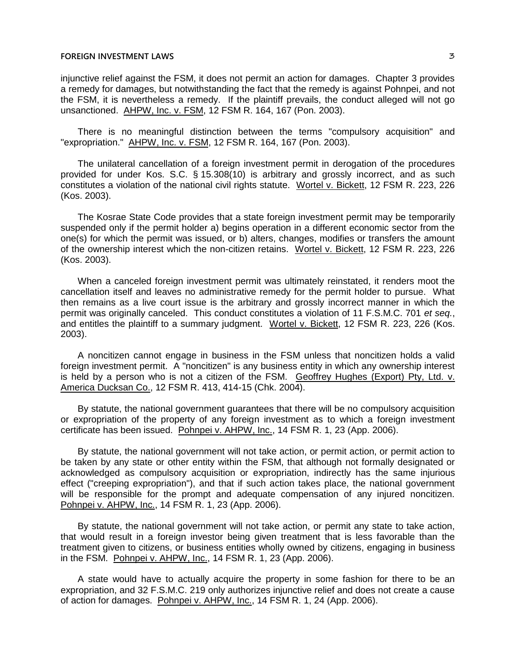injunctive relief against the FSM, it does not permit an action for damages. Chapter 3 provides a remedy for damages, but notwithstanding the fact that the remedy is against Pohnpei, and not the FSM, it is nevertheless a remedy. If the plaintiff prevails, the conduct alleged will not go unsanctioned. AHPW, Inc. v. FSM, 12 FSM R. 164, 167 (Pon. 2003).

There is no meaningful distinction between the terms "compulsory acquisition" and "expropriation." AHPW, Inc. v. FSM, 12 FSM R. 164, 167 (Pon. 2003).

The unilateral cancellation of a foreign investment permit in derogation of the procedures provided for under Kos. S.C. § 15.308(10) is arbitrary and grossly incorrect, and as such constitutes a violation of the national civil rights statute. Wortel v. Bickett, 12 FSM R. 223, 226 (Kos. 2003).

The Kosrae State Code provides that a state foreign investment permit may be temporarily suspended only if the permit holder a) begins operation in a different economic sector from the one(s) for which the permit was issued, or b) alters, changes, modifies or transfers the amount of the ownership interest which the non-citizen retains. Wortel v. Bickett, 12 FSM R. 223, 226 (Kos. 2003).

When a canceled foreign investment permit was ultimately reinstated, it renders moot the cancellation itself and leaves no administrative remedy for the permit holder to pursue. What then remains as a live court issue is the arbitrary and grossly incorrect manner in which the permit was originally canceled. This conduct constitutes a violation of 11 F.S.M.C. 701 *et seq.*, and entitles the plaintiff to a summary judgment. Wortel v. Bickett, 12 FSM R. 223, 226 (Kos. 2003).

A noncitizen cannot engage in business in the FSM unless that noncitizen holds a valid foreign investment permit. A "noncitizen" is any business entity in which any ownership interest is held by a person who is not a citizen of the FSM. Geoffrey Hughes (Export) Pty, Ltd. v. America Ducksan Co., 12 FSM R. 413, 414-15 (Chk. 2004).

By statute, the national government guarantees that there will be no compulsory acquisition or expropriation of the property of any foreign investment as to which a foreign investment certificate has been issued. Pohnpei v. AHPW, Inc., 14 FSM R. 1, 23 (App. 2006).

By statute, the national government will not take action, or permit action, or permit action to be taken by any state or other entity within the FSM, that although not formally designated or acknowledged as compulsory acquisition or expropriation, indirectly has the same injurious effect ("creeping expropriation"), and that if such action takes place, the national government will be responsible for the prompt and adequate compensation of any injured noncitizen. Pohnpei v. AHPW, Inc., 14 FSM R. 1, 23 (App. 2006).

By statute, the national government will not take action, or permit any state to take action, that would result in a foreign investor being given treatment that is less favorable than the treatment given to citizens, or business entities wholly owned by citizens, engaging in business in the FSM. Pohnpei v. AHPW, Inc., 14 FSM R. 1, 23 (App. 2006).

A state would have to actually acquire the property in some fashion for there to be an expropriation, and 32 F.S.M.C. 219 only authorizes injunctive relief and does not create a cause of action for damages. Pohnpei v. AHPW, Inc., 14 FSM R. 1, 24 (App. 2006).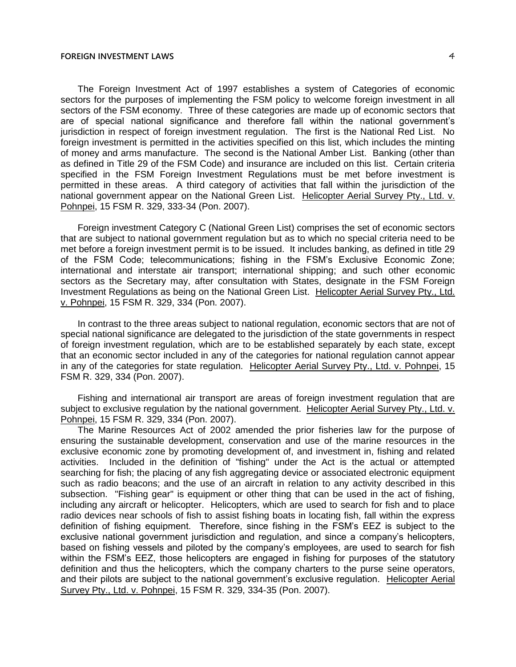The Foreign Investment Act of 1997 establishes a system of Categories of economic sectors for the purposes of implementing the FSM policy to welcome foreign investment in all sectors of the FSM economy. Three of these categories are made up of economic sectors that are of special national significance and therefore fall within the national government's jurisdiction in respect of foreign investment regulation. The first is the National Red List. No foreign investment is permitted in the activities specified on this list, which includes the minting of money and arms manufacture. The second is the National Amber List. Banking (other than as defined in Title 29 of the FSM Code) and insurance are included on this list. Certain criteria specified in the FSM Foreign Investment Regulations must be met before investment is permitted in these areas. A third category of activities that fall within the jurisdiction of the national government appear on the National Green List. Helicopter Aerial Survey Pty., Ltd. v. Pohnpei, 15 FSM R. 329, 333-34 (Pon. 2007).

Foreign investment Category C (National Green List) comprises the set of economic sectors that are subject to national government regulation but as to which no special criteria need to be met before a foreign investment permit is to be issued. It includes banking, as defined in title 29 of the FSM Code; telecommunications; fishing in the FSM's Exclusive Economic Zone; international and interstate air transport; international shipping; and such other economic sectors as the Secretary may, after consultation with States, designate in the FSM Foreign Investment Regulations as being on the National Green List. Helicopter Aerial Survey Pty., Ltd. v. Pohnpei, 15 FSM R. 329, 334 (Pon. 2007).

In contrast to the three areas subject to national regulation, economic sectors that are not of special national significance are delegated to the jurisdiction of the state governments in respect of foreign investment regulation, which are to be established separately by each state, except that an economic sector included in any of the categories for national regulation cannot appear in any of the categories for state regulation. Helicopter Aerial Survey Pty., Ltd. v. Pohnpei, 15 FSM R. 329, 334 (Pon. 2007).

Fishing and international air transport are areas of foreign investment regulation that are subject to exclusive regulation by the national government. Helicopter Aerial Survey Pty., Ltd. v. Pohnpei, 15 FSM R. 329, 334 (Pon. 2007).

The Marine Resources Act of 2002 amended the prior fisheries law for the purpose of ensuring the sustainable development, conservation and use of the marine resources in the exclusive economic zone by promoting development of, and investment in, fishing and related activities. Included in the definition of "fishing" under the Act is the actual or attempted searching for fish; the placing of any fish aggregating device or associated electronic equipment such as radio beacons; and the use of an aircraft in relation to any activity described in this subsection. "Fishing gear" is equipment or other thing that can be used in the act of fishing, including any aircraft or helicopter. Helicopters, which are used to search for fish and to place radio devices near schools of fish to assist fishing boats in locating fish, fall within the express definition of fishing equipment. Therefore, since fishing in the FSM's EEZ is subject to the exclusive national government jurisdiction and regulation, and since a company's helicopters, based on fishing vessels and piloted by the company's employees, are used to search for fish within the FSM's EEZ, those helicopters are engaged in fishing for purposes of the statutory definition and thus the helicopters, which the company charters to the purse seine operators, and their pilots are subject to the national government's exclusive regulation. Helicopter Aerial Survey Pty., Ltd. v. Pohnpei, 15 FSM R. 329, 334-35 (Pon. 2007).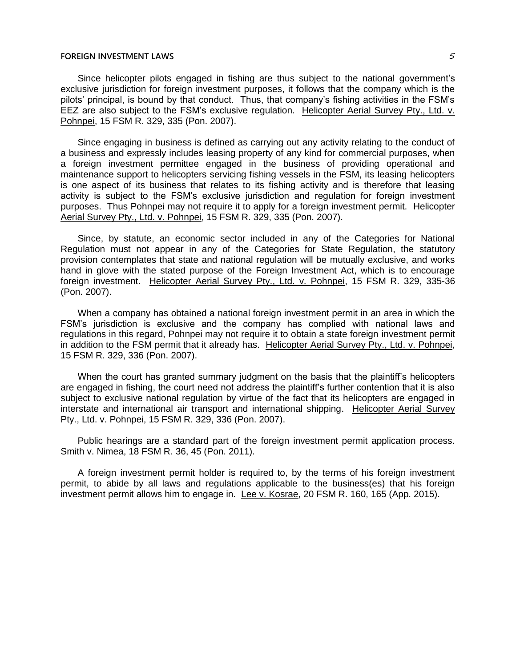Since helicopter pilots engaged in fishing are thus subject to the national government's exclusive jurisdiction for foreign investment purposes, it follows that the company which is the pilots' principal, is bound by that conduct. Thus, that company's fishing activities in the FSM's EEZ are also subject to the FSM's exclusive regulation. Helicopter Aerial Survey Pty., Ltd. v. Pohnpei, 15 FSM R. 329, 335 (Pon. 2007).

Since engaging in business is defined as carrying out any activity relating to the conduct of a business and expressly includes leasing property of any kind for commercial purposes, when a foreign investment permittee engaged in the business of providing operational and maintenance support to helicopters servicing fishing vessels in the FSM, its leasing helicopters is one aspect of its business that relates to its fishing activity and is therefore that leasing activity is subject to the FSM's exclusive jurisdiction and regulation for foreign investment purposes. Thus Pohnpei may not require it to apply for a foreign investment permit. Helicopter Aerial Survey Pty., Ltd. v. Pohnpei, 15 FSM R. 329, 335 (Pon. 2007).

Since, by statute, an economic sector included in any of the Categories for National Regulation must not appear in any of the Categories for State Regulation, the statutory provision contemplates that state and national regulation will be mutually exclusive, and works hand in glove with the stated purpose of the Foreign Investment Act, which is to encourage foreign investment. Helicopter Aerial Survey Pty., Ltd. v. Pohnpei, 15 FSM R. 329, 335-36 (Pon. 2007).

When a company has obtained a national foreign investment permit in an area in which the FSM's jurisdiction is exclusive and the company has complied with national laws and regulations in this regard, Pohnpei may not require it to obtain a state foreign investment permit in addition to the FSM permit that it already has. Helicopter Aerial Survey Pty., Ltd. v. Pohnpei, 15 FSM R. 329, 336 (Pon. 2007).

When the court has granted summary judgment on the basis that the plaintiff's helicopters are engaged in fishing, the court need not address the plaintiff's further contention that it is also subject to exclusive national regulation by virtue of the fact that its helicopters are engaged in interstate and international air transport and international shipping. Helicopter Aerial Survey Pty., Ltd. v. Pohnpei, 15 FSM R. 329, 336 (Pon. 2007).

Public hearings are a standard part of the foreign investment permit application process. Smith v. Nimea, 18 FSM R. 36, 45 (Pon. 2011).

A foreign investment permit holder is required to, by the terms of his foreign investment permit, to abide by all laws and regulations applicable to the business(es) that his foreign investment permit allows him to engage in. Lee v. Kosrae, 20 FSM R. 160, 165 (App. 2015).